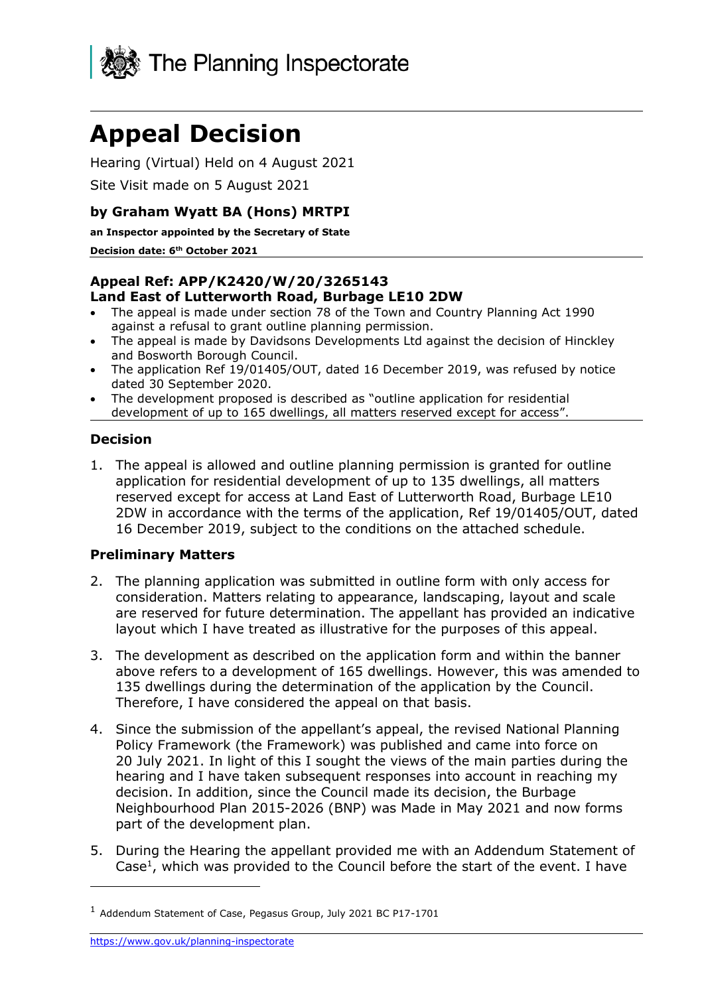

# **Appeal Decision**

Hearing (Virtual) Held on 4 August 2021

Site Visit made on 5 August 2021

## **by Graham Wyatt BA (Hons) MRTPI**

**an Inspector appointed by the Secretary of State** 

#### **Decision date: 6 th October 2021**

### **Appeal Ref: APP/K2420/W/20/3265143 Land East of Lutterworth Road, Burbage LE10 2DW**

- The appeal is made under section 78 of the Town and Country Planning Act 1990 against a refusal to grant outline planning permission.
- The appeal is made by Davidsons Developments Ltd against the decision of Hinckley and Bosworth Borough Council.
- The application Ref 19/01405/OUT, dated 16 December 2019, was refused by notice dated 30 September 2020.
- The development proposed is described as "outline application for residential development of up to 165 dwellings, all matters reserved except for access".

## **Decision**

1. The appeal is allowed and outline planning permission is granted for outline application for residential development of up to 135 dwellings, all matters reserved except for access at Land East of Lutterworth Road, Burbage LE10 2DW in accordance with the terms of the application, Ref 19/01405/OUT, dated 16 December 2019, subject to the conditions on the attached schedule.

## **Preliminary Matters**

- 2. The planning application was submitted in outline form with only access for consideration. Matters relating to appearance, landscaping, layout and scale are reserved for future determination. The appellant has provided an indicative layout which I have treated as illustrative for the purposes of this appeal.
- 3. The development as described on the application form and within the banner above refers to a development of 165 dwellings. However, this was amended to 135 dwellings during the determination of the application by the Council. Therefore, I have considered the appeal on that basis.
- 4. Since the submission of the appellant's appeal, the revised National Planning Policy Framework (the Framework) was published and came into force on 20 July 2021. In light of this I sought the views of the main parties during the hearing and I have taken subsequent responses into account in reaching my decision. In addition, since the Council made its decision, the Burbage Neighbourhood Plan 2015-2026 (BNP) was Made in May 2021 and now forms part of the development plan.
- 5. During the Hearing the appellant provided me with an Addendum Statement of Case<sup>1</sup>, which was provided to the Council before the start of the event. I have

<sup>1</sup> Addendum Statement of Case, Pegasus Group, July 2021 BC P17-1701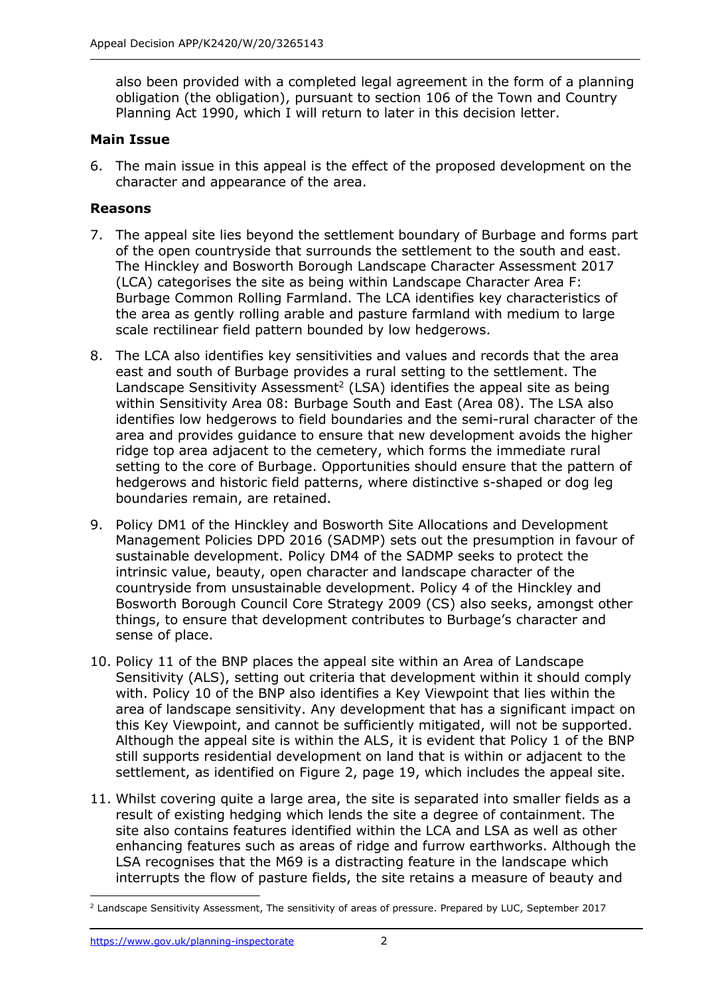also been provided with a completed legal agreement in the form of a planning obligation (the obligation), pursuant to section 106 of the Town and Country Planning Act 1990, which I will return to later in this decision letter.

#### **Main Issue**

6. The main issue in this appeal is the effect of the proposed development on the character and appearance of the area.

### **Reasons**

- 7. The appeal site lies beyond the settlement boundary of Burbage and forms part of the open countryside that surrounds the settlement to the south and east. The Hinckley and Bosworth Borough Landscape Character Assessment 2017 (LCA) categorises the site as being within Landscape Character Area F: Burbage Common Rolling Farmland. The LCA identifies key characteristics of the area as gently rolling arable and pasture farmland with medium to large scale rectilinear field pattern bounded by low hedgerows.
- 8. The LCA also identifies key sensitivities and values and records that the area east and south of Burbage provides a rural setting to the settlement. The Landscape Sensitivity Assessment<sup>2</sup> (LSA) identifies the appeal site as being within Sensitivity Area 08: Burbage South and East (Area 08). The LSA also identifies low hedgerows to field boundaries and the semi-rural character of the area and provides guidance to ensure that new development avoids the higher ridge top area adjacent to the cemetery, which forms the immediate rural setting to the core of Burbage. Opportunities should ensure that the pattern of hedgerows and historic field patterns, where distinctive s-shaped or dog leg boundaries remain, are retained.
- 9. Policy DM1 of the Hinckley and Bosworth Site Allocations and Development Management Policies DPD 2016 (SADMP) sets out the presumption in favour of sustainable development. Policy DM4 of the SADMP seeks to protect the intrinsic value, beauty, open character and landscape character of the countryside from unsustainable development. Policy 4 of the Hinckley and Bosworth Borough Council Core Strategy 2009 (CS) also seeks, amongst other things, to ensure that development contributes to Burbage's character and sense of place.
- 10. Policy 11 of the BNP places the appeal site within an Area of Landscape Sensitivity (ALS), setting out criteria that development within it should comply with. Policy 10 of the BNP also identifies a Key Viewpoint that lies within the area of landscape sensitivity. Any development that has a significant impact on this Key Viewpoint, and cannot be sufficiently mitigated, will not be supported. Although the appeal site is within the ALS, it is evident that Policy 1 of the BNP still supports residential development on land that is within or adjacent to the settlement, as identified on Figure 2, page 19, which includes the appeal site.
- 11. Whilst covering quite a large area, the site is separated into smaller fields as a result of existing hedging which lends the site a degree of containment. The site also contains features identified within the LCA and LSA as well as other enhancing features such as areas of ridge and furrow earthworks. Although the LSA recognises that the M69 is a distracting feature in the landscape which interrupts the flow of pasture fields, the site retains a measure of beauty and

<sup>&</sup>lt;sup>2</sup> Landscape Sensitivity Assessment, The sensitivity of areas of pressure. Prepared by LUC, September 2017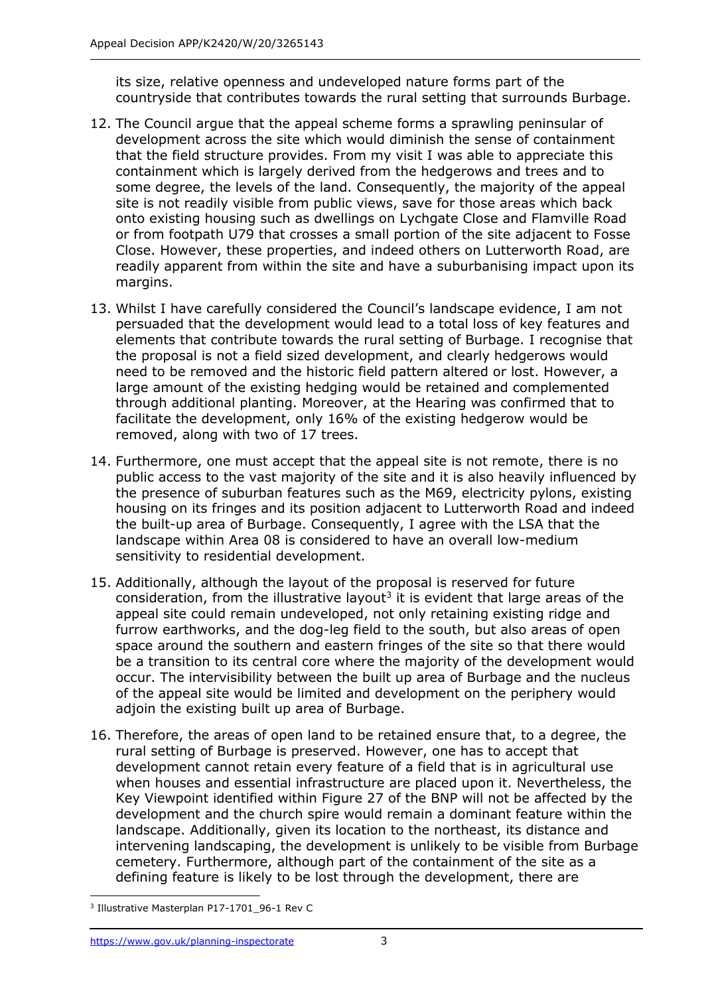its size, relative openness and undeveloped nature forms part of the countryside that contributes towards the rural setting that surrounds Burbage.

- 12. The Council argue that the appeal scheme forms a sprawling peninsular of development across the site which would diminish the sense of containment that the field structure provides. From my visit I was able to appreciate this containment which is largely derived from the hedgerows and trees and to some degree, the levels of the land. Consequently, the majority of the appeal site is not readily visible from public views, save for those areas which back onto existing housing such as dwellings on Lychgate Close and Flamville Road or from footpath U79 that crosses a small portion of the site adjacent to Fosse Close. However, these properties, and indeed others on Lutterworth Road, are readily apparent from within the site and have a suburbanising impact upon its margins.
- 13. Whilst I have carefully considered the Council's landscape evidence, I am not persuaded that the development would lead to a total loss of key features and elements that contribute towards the rural setting of Burbage. I recognise that the proposal is not a field sized development, and clearly hedgerows would need to be removed and the historic field pattern altered or lost. However, a large amount of the existing hedging would be retained and complemented through additional planting. Moreover, at the Hearing was confirmed that to facilitate the development, only 16% of the existing hedgerow would be removed, along with two of 17 trees.
- 14. Furthermore, one must accept that the appeal site is not remote, there is no public access to the vast majority of the site and it is also heavily influenced by the presence of suburban features such as the M69, electricity pylons, existing housing on its fringes and its position adjacent to Lutterworth Road and indeed the built-up area of Burbage. Consequently, I agree with the LSA that the landscape within Area 08 is considered to have an overall low-medium sensitivity to residential development.
- 15. Additionally, although the layout of the proposal is reserved for future consideration, from the illustrative layout<sup>3</sup> it is evident that large areas of the appeal site could remain undeveloped, not only retaining existing ridge and furrow earthworks, and the dog-leg field to the south, but also areas of open space around the southern and eastern fringes of the site so that there would be a transition to its central core where the majority of the development would occur. The intervisibility between the built up area of Burbage and the nucleus of the appeal site would be limited and development on the periphery would adjoin the existing built up area of Burbage.
- 16. Therefore, the areas of open land to be retained ensure that, to a degree, the rural setting of Burbage is preserved. However, one has to accept that development cannot retain every feature of a field that is in agricultural use when houses and essential infrastructure are placed upon it. Nevertheless, the Key Viewpoint identified within Figure 27 of the BNP will not be affected by the development and the church spire would remain a dominant feature within the landscape. Additionally, given its location to the northeast, its distance and intervening landscaping, the development is unlikely to be visible from Burbage cemetery. Furthermore, although part of the containment of the site as a defining feature is likely to be lost through the development, there are

<sup>3</sup> Illustrative Masterplan P17-1701\_96-1 Rev C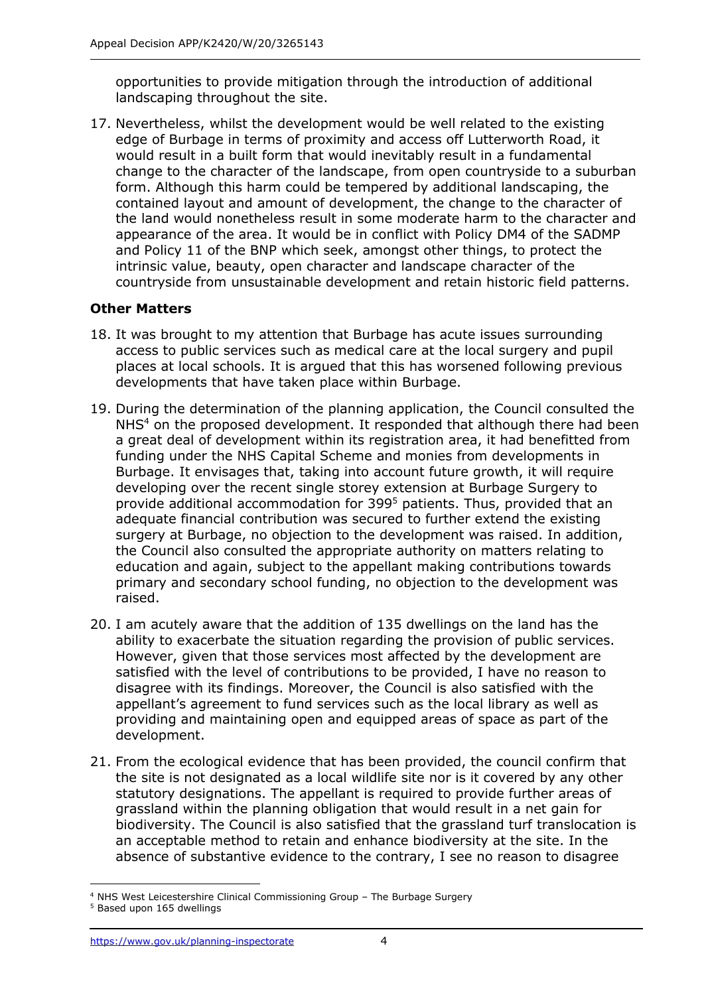opportunities to provide mitigation through the introduction of additional landscaping throughout the site.

17. Nevertheless, whilst the development would be well related to the existing edge of Burbage in terms of proximity and access off Lutterworth Road, it would result in a built form that would inevitably result in a fundamental change to the character of the landscape, from open countryside to a suburban form. Although this harm could be tempered by additional landscaping, the contained layout and amount of development, the change to the character of the land would nonetheless result in some moderate harm to the character and appearance of the area. It would be in conflict with Policy DM4 of the SADMP and Policy 11 of the BNP which seek, amongst other things, to protect the intrinsic value, beauty, open character and landscape character of the countryside from unsustainable development and retain historic field patterns.

## **Other Matters**

- 18. It was brought to my attention that Burbage has acute issues surrounding access to public services such as medical care at the local surgery and pupil places at local schools. It is argued that this has worsened following previous developments that have taken place within Burbage.
- 19. During the determination of the planning application, the Council consulted the NHS<sup>4</sup> on the proposed development. It responded that although there had been a great deal of development within its registration area, it had benefitted from funding under the NHS Capital Scheme and monies from developments in Burbage. It envisages that, taking into account future growth, it will require developing over the recent single storey extension at Burbage Surgery to provide additional accommodation for 399<sup>5</sup> patients. Thus, provided that an adequate financial contribution was secured to further extend the existing surgery at Burbage, no objection to the development was raised. In addition, the Council also consulted the appropriate authority on matters relating to education and again, subject to the appellant making contributions towards primary and secondary school funding, no objection to the development was raised.
- 20. I am acutely aware that the addition of 135 dwellings on the land has the ability to exacerbate the situation regarding the provision of public services. However, given that those services most affected by the development are satisfied with the level of contributions to be provided, I have no reason to disagree with its findings. Moreover, the Council is also satisfied with the appellant's agreement to fund services such as the local library as well as providing and maintaining open and equipped areas of space as part of the development.
- 21. From the ecological evidence that has been provided, the council confirm that the site is not designated as a local wildlife site nor is it covered by any other statutory designations. The appellant is required to provide further areas of grassland within the planning obligation that would result in a net gain for biodiversity. The Council is also satisfied that the grassland turf translocation is an acceptable method to retain and enhance biodiversity at the site. In the absence of substantive evidence to the contrary, I see no reason to disagree

<sup>4</sup> NHS West Leicestershire Clinical Commissioning Group – The Burbage Surgery

<sup>5</sup> Based upon 165 dwellings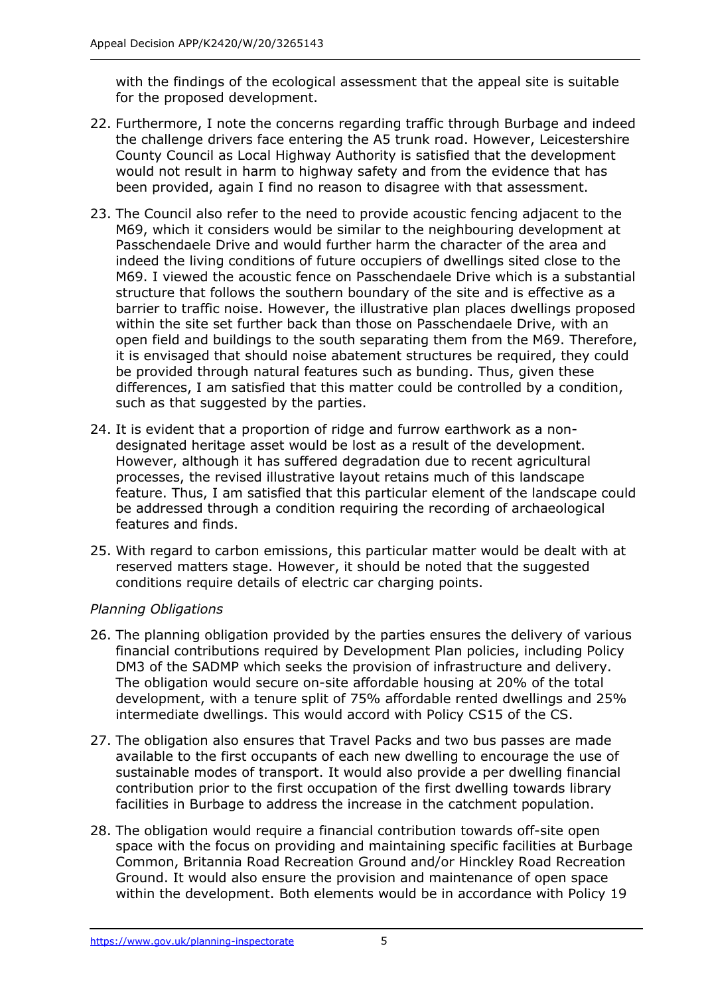with the findings of the ecological assessment that the appeal site is suitable for the proposed development.

- 22. Furthermore, I note the concerns regarding traffic through Burbage and indeed the challenge drivers face entering the A5 trunk road. However, Leicestershire County Council as Local Highway Authority is satisfied that the development would not result in harm to highway safety and from the evidence that has been provided, again I find no reason to disagree with that assessment.
- 23. The Council also refer to the need to provide acoustic fencing adjacent to the M69, which it considers would be similar to the neighbouring development at Passchendaele Drive and would further harm the character of the area and indeed the living conditions of future occupiers of dwellings sited close to the M69. I viewed the acoustic fence on Passchendaele Drive which is a substantial structure that follows the southern boundary of the site and is effective as a barrier to traffic noise. However, the illustrative plan places dwellings proposed within the site set further back than those on Passchendaele Drive, with an open field and buildings to the south separating them from the M69. Therefore, it is envisaged that should noise abatement structures be required, they could be provided through natural features such as bunding. Thus, given these differences, I am satisfied that this matter could be controlled by a condition, such as that suggested by the parties.
- 24. It is evident that a proportion of ridge and furrow earthwork as a nondesignated heritage asset would be lost as a result of the development. However, although it has suffered degradation due to recent agricultural processes, the revised illustrative layout retains much of this landscape feature. Thus, I am satisfied that this particular element of the landscape could be addressed through a condition requiring the recording of archaeological features and finds.
- 25. With regard to carbon emissions, this particular matter would be dealt with at reserved matters stage. However, it should be noted that the suggested conditions require details of electric car charging points.

## *Planning Obligations*

- 26. The planning obligation provided by the parties ensures the delivery of various financial contributions required by Development Plan policies, including Policy DM3 of the SADMP which seeks the provision of infrastructure and delivery. The obligation would secure on-site affordable housing at 20% of the total development, with a tenure split of 75% affordable rented dwellings and 25% intermediate dwellings. This would accord with Policy CS15 of the CS.
- 27. The obligation also ensures that Travel Packs and two bus passes are made available to the first occupants of each new dwelling to encourage the use of sustainable modes of transport. It would also provide a per dwelling financial contribution prior to the first occupation of the first dwelling towards library facilities in Burbage to address the increase in the catchment population.
- 28. The obligation would require a financial contribution towards off-site open space with the focus on providing and maintaining specific facilities at Burbage Common, Britannia Road Recreation Ground and/or Hinckley Road Recreation Ground. It would also ensure the provision and maintenance of open space within the development. Both elements would be in accordance with Policy 19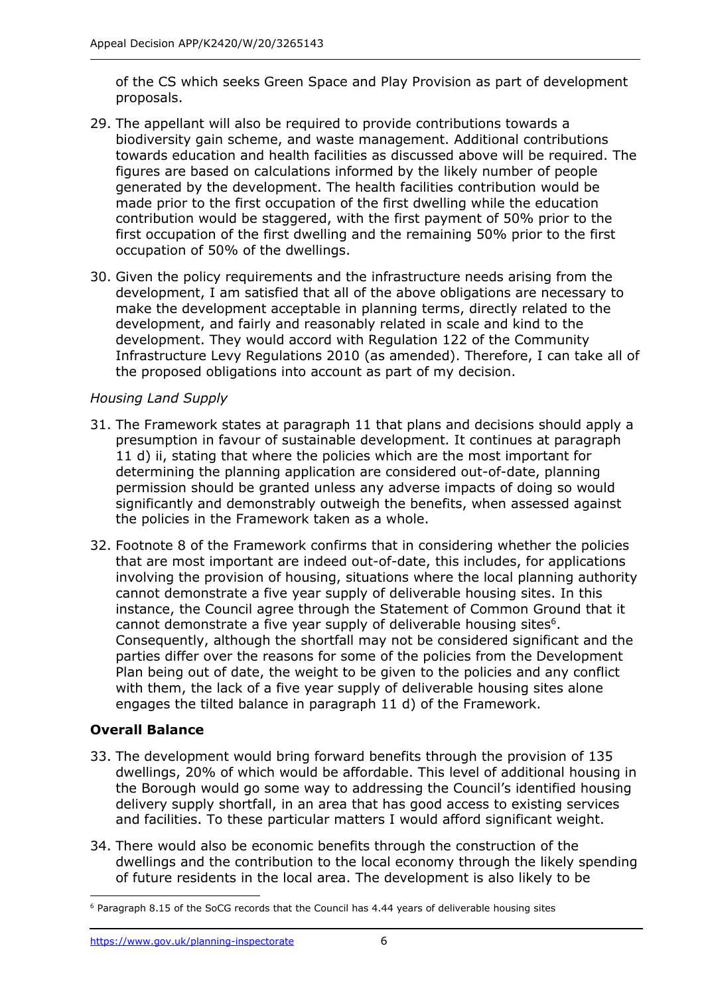of the CS which seeks Green Space and Play Provision as part of development proposals.

- 29. The appellant will also be required to provide contributions towards a biodiversity gain scheme, and waste management. Additional contributions towards education and health facilities as discussed above will be required. The figures are based on calculations informed by the likely number of people generated by the development. The health facilities contribution would be made prior to the first occupation of the first dwelling while the education contribution would be staggered, with the first payment of 50% prior to the first occupation of the first dwelling and the remaining 50% prior to the first occupation of 50% of the dwellings.
- 30. Given the policy requirements and the infrastructure needs arising from the development, I am satisfied that all of the above obligations are necessary to make the development acceptable in planning terms, directly related to the development, and fairly and reasonably related in scale and kind to the development. They would accord with Regulation 122 of the Community Infrastructure Levy Regulations 2010 (as amended). Therefore, I can take all of the proposed obligations into account as part of my decision.

## *Housing Land Supply*

- 31. The Framework states at paragraph 11 that plans and decisions should apply a presumption in favour of sustainable development. It continues at paragraph 11 d) ii, stating that where the policies which are the most important for determining the planning application are considered out-of-date, planning permission should be granted unless any adverse impacts of doing so would significantly and demonstrably outweigh the benefits, when assessed against the policies in the Framework taken as a whole.
- 32. Footnote 8 of the Framework confirms that in considering whether the policies that are most important are indeed out-of-date, this includes, for applications involving the provision of housing, situations where the local planning authority cannot demonstrate a five year supply of deliverable housing sites. In this instance, the Council agree through the Statement of Common Ground that it cannot demonstrate a five year supply of deliverable housing sites<sup>6</sup>. Consequently, although the shortfall may not be considered significant and the parties differ over the reasons for some of the policies from the Development Plan being out of date, the weight to be given to the policies and any conflict with them, the lack of a five year supply of deliverable housing sites alone engages the tilted balance in paragraph 11 d) of the Framework.

## **Overall Balance**

- 33. The development would bring forward benefits through the provision of 135 dwellings, 20% of which would be affordable. This level of additional housing in the Borough would go some way to addressing the Council's identified housing delivery supply shortfall, in an area that has good access to existing services and facilities. To these particular matters I would afford significant weight.
- 34. There would also be economic benefits through the construction of the dwellings and the contribution to the local economy through the likely spending of future residents in the local area. The development is also likely to be

<sup>6</sup> Paragraph 8.15 of the SoCG records that the Council has 4.44 years of deliverable housing sites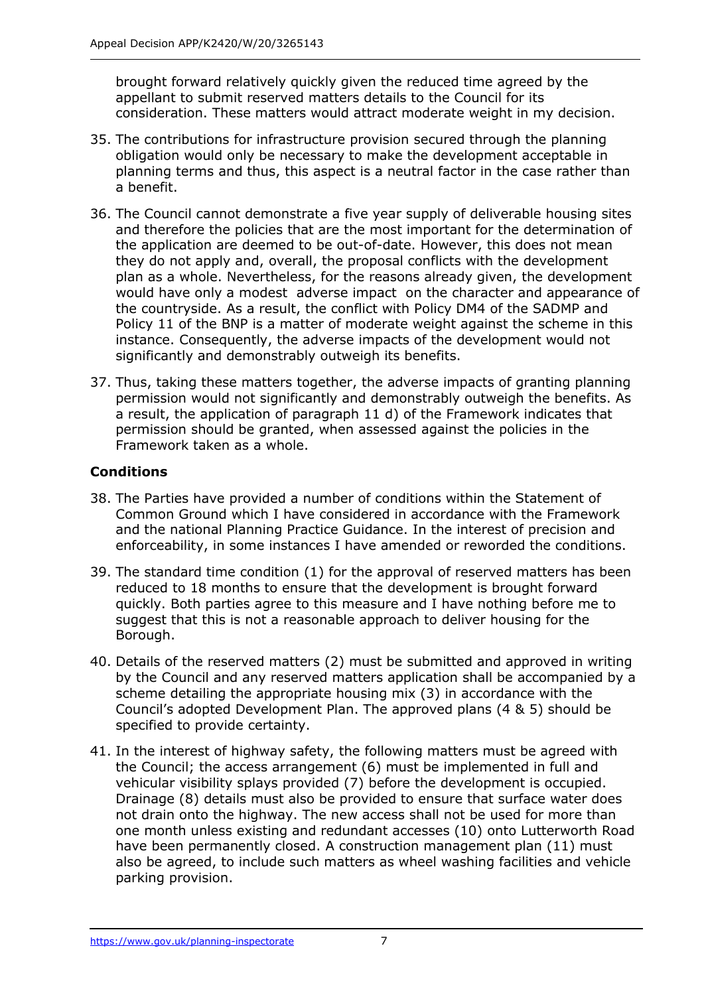brought forward relatively quickly given the reduced time agreed by the appellant to submit reserved matters details to the Council for its consideration. These matters would attract moderate weight in my decision.

- 35. The contributions for infrastructure provision secured through the planning obligation would only be necessary to make the development acceptable in planning terms and thus, this aspect is a neutral factor in the case rather than a benefit.
- 36. The Council cannot demonstrate a five year supply of deliverable housing sites and therefore the policies that are the most important for the determination of the application are deemed to be out-of-date. However, this does not mean they do not apply and, overall, the proposal conflicts with the development plan as a whole. Nevertheless, for the reasons already given, the development would have only a modest adverse impact on the character and appearance of the countryside. As a result, the conflict with Policy DM4 of the SADMP and Policy 11 of the BNP is a matter of moderate weight against the scheme in this instance. Consequently, the adverse impacts of the development would not significantly and demonstrably outweigh its benefits.
- 37. Thus, taking these matters together, the adverse impacts of granting planning permission would not significantly and demonstrably outweigh the benefits. As a result, the application of paragraph 11 d) of the Framework indicates that permission should be granted, when assessed against the policies in the Framework taken as a whole.

## **Conditions**

- 38. The Parties have provided a number of conditions within the Statement of Common Ground which I have considered in accordance with the Framework and the national Planning Practice Guidance. In the interest of precision and enforceability, in some instances I have amended or reworded the conditions.
- 39. The standard time condition (1) for the approval of reserved matters has been reduced to 18 months to ensure that the development is brought forward quickly. Both parties agree to this measure and I have nothing before me to suggest that this is not a reasonable approach to deliver housing for the Borough.
- 40. Details of the reserved matters (2) must be submitted and approved in writing by the Council and any reserved matters application shall be accompanied by a scheme detailing the appropriate housing mix (3) in accordance with the Council's adopted Development Plan. The approved plans (4 & 5) should be specified to provide certainty.
- 41. In the interest of highway safety, the following matters must be agreed with the Council; the access arrangement (6) must be implemented in full and vehicular visibility splays provided (7) before the development is occupied. Drainage (8) details must also be provided to ensure that surface water does not drain onto the highway. The new access shall not be used for more than one month unless existing and redundant accesses (10) onto Lutterworth Road have been permanently closed. A construction management plan (11) must also be agreed, to include such matters as wheel washing facilities and vehicle parking provision.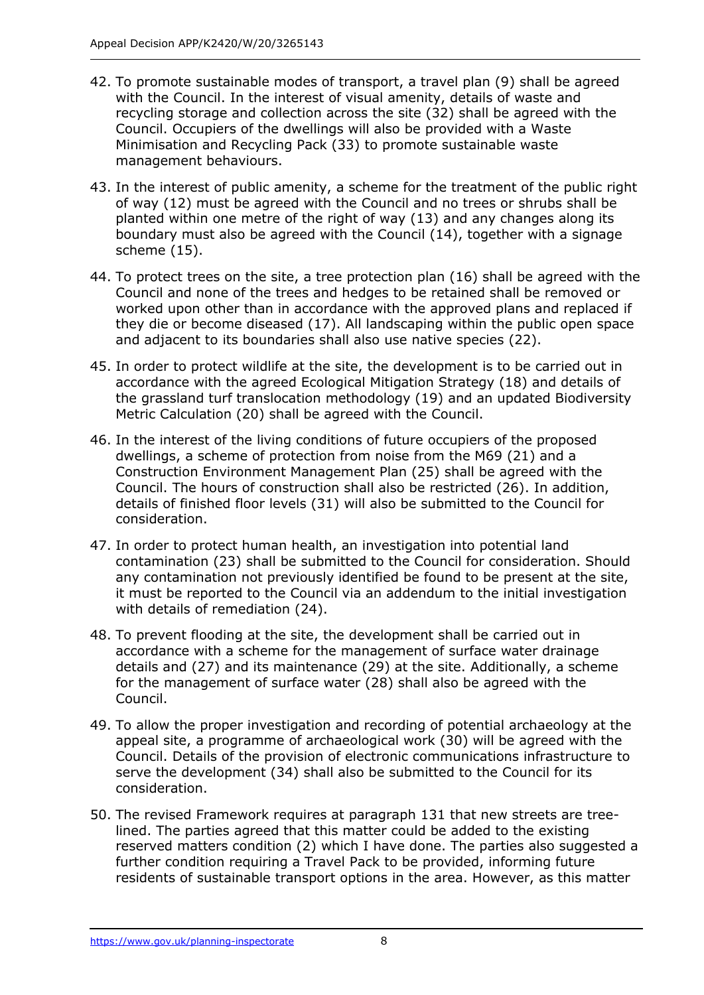- 42. To promote sustainable modes of transport, a travel plan (9) shall be agreed with the Council. In the interest of visual amenity, details of waste and recycling storage and collection across the site (32) shall be agreed with the Council. Occupiers of the dwellings will also be provided with a Waste Minimisation and Recycling Pack (33) to promote sustainable waste management behaviours.
- 43. In the interest of public amenity, a scheme for the treatment of the public right of way (12) must be agreed with the Council and no trees or shrubs shall be planted within one metre of the right of way (13) and any changes along its boundary must also be agreed with the Council (14), together with a signage scheme (15).
- 44. To protect trees on the site, a tree protection plan (16) shall be agreed with the Council and none of the trees and hedges to be retained shall be removed or worked upon other than in accordance with the approved plans and replaced if they die or become diseased (17). All landscaping within the public open space and adjacent to its boundaries shall also use native species (22).
- 45. In order to protect wildlife at the site, the development is to be carried out in accordance with the agreed Ecological Mitigation Strategy (18) and details of the grassland turf translocation methodology (19) and an updated Biodiversity Metric Calculation (20) shall be agreed with the Council.
- 46. In the interest of the living conditions of future occupiers of the proposed dwellings, a scheme of protection from noise from the M69 (21) and a Construction Environment Management Plan (25) shall be agreed with the Council. The hours of construction shall also be restricted (26). In addition, details of finished floor levels (31) will also be submitted to the Council for consideration.
- 47. In order to protect human health, an investigation into potential land contamination (23) shall be submitted to the Council for consideration. Should any contamination not previously identified be found to be present at the site, it must be reported to the Council via an addendum to the initial investigation with details of remediation (24).
- 48. To prevent flooding at the site, the development shall be carried out in accordance with a scheme for the management of surface water drainage details and (27) and its maintenance (29) at the site. Additionally, a scheme for the management of surface water (28) shall also be agreed with the Council.
- 49. To allow the proper investigation and recording of potential archaeology at the appeal site, a programme of archaeological work (30) will be agreed with the Council. Details of the provision of electronic communications infrastructure to serve the development (34) shall also be submitted to the Council for its consideration.
- 50. The revised Framework requires at paragraph 131 that new streets are treelined. The parties agreed that this matter could be added to the existing reserved matters condition (2) which I have done. The parties also suggested a further condition requiring a Travel Pack to be provided, informing future residents of sustainable transport options in the area. However, as this matter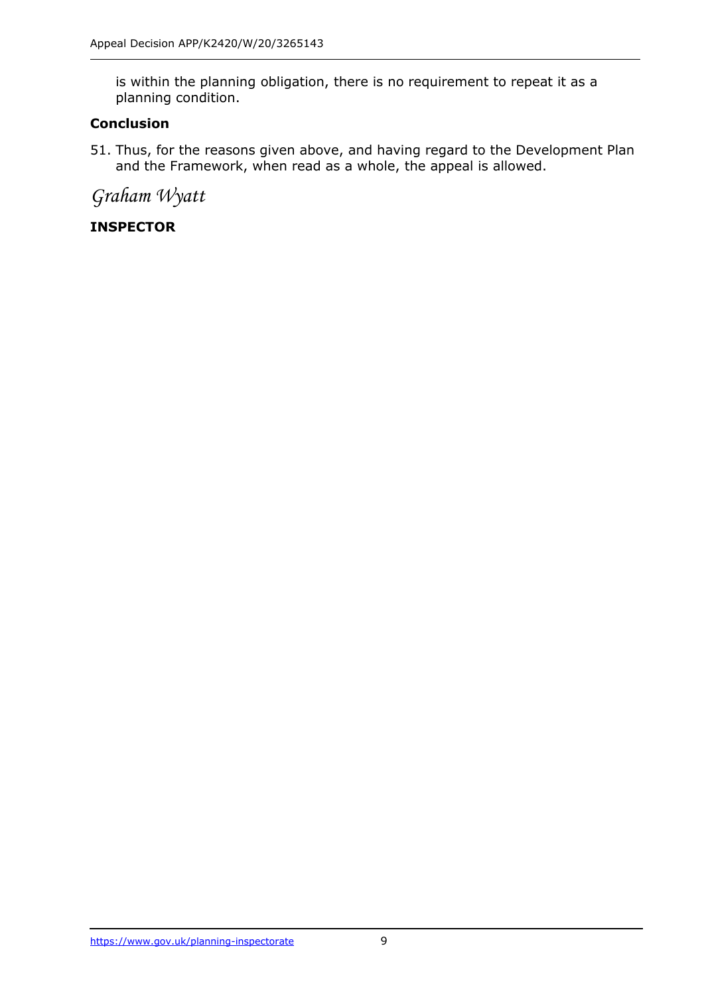is within the planning obligation, there is no requirement to repeat it as a planning condition.

## **Conclusion**

51. Thus, for the reasons given above, and having regard to the Development Plan and the Framework, when read as a whole, the appeal is allowed.

*Graham Wyatt*

## **INSPECTOR**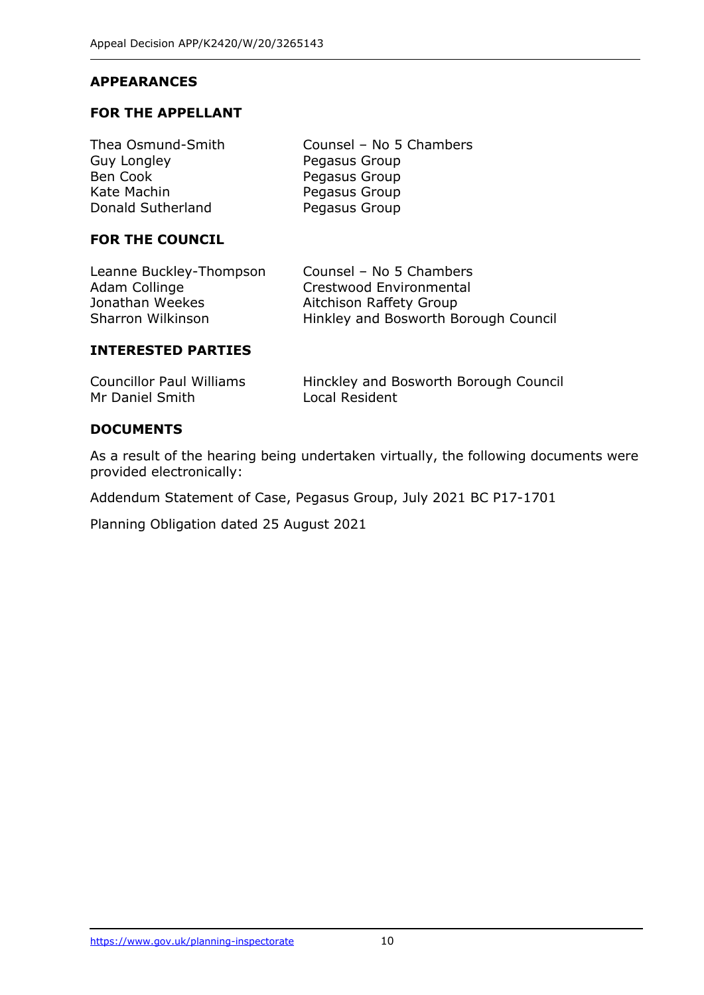### **APPEARANCES**

#### **FOR THE APPELLANT**

| Counsel - No 5 Chambers |
|-------------------------|
| Pegasus Group           |
| Pegasus Group           |
| Pegasus Group           |
| Pegasus Group           |
|                         |

#### **FOR THE COUNCIL**

| Counsel - No 5 Chambers              |
|--------------------------------------|
| Crestwood Environmental              |
| Aitchison Raffety Group              |
| Hinkley and Bosworth Borough Council |
|                                      |

#### **INTERESTED PARTIES**

| <b>Councillor Paul Williams</b> | Hinckley and Bosworth Borough Council |
|---------------------------------|---------------------------------------|
| Mr Daniel Smith                 | Local Resident                        |

#### **DOCUMENTS**

As a result of the hearing being undertaken virtually, the following documents were provided electronically:

Addendum Statement of Case, Pegasus Group, July 2021 BC P17-1701

Planning Obligation dated 25 August 2021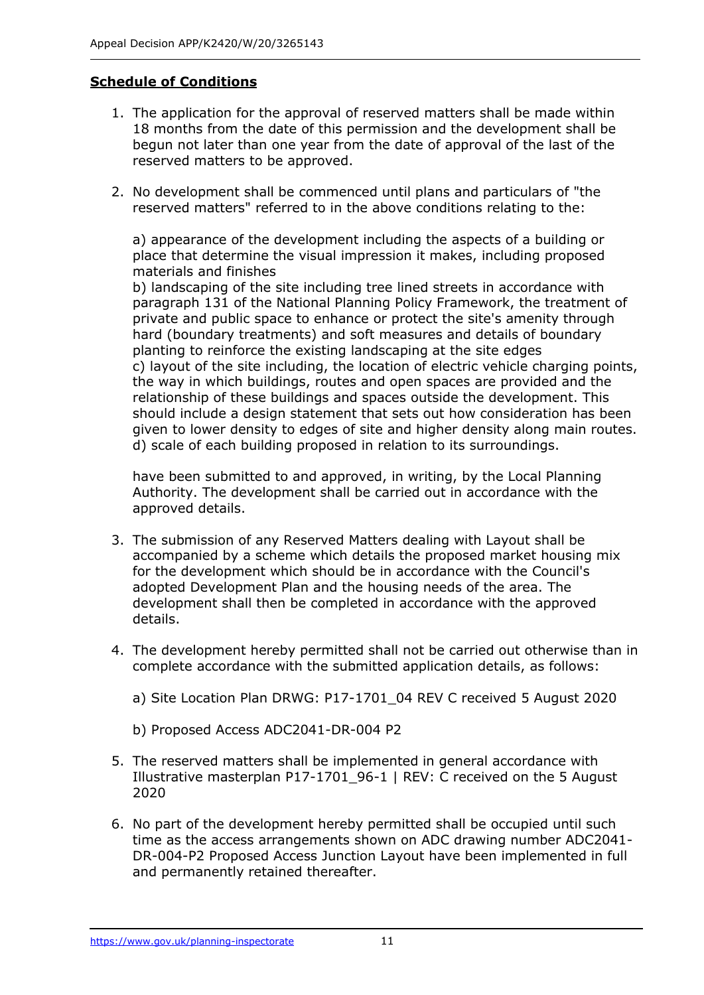#### **Schedule of Conditions**

- 1. The application for the approval of reserved matters shall be made within 18 months from the date of this permission and the development shall be begun not later than one year from the date of approval of the last of the reserved matters to be approved.
- 2. No development shall be commenced until plans and particulars of "the reserved matters" referred to in the above conditions relating to the:

a) appearance of the development including the aspects of a building or place that determine the visual impression it makes, including proposed materials and finishes

b) landscaping of the site including tree lined streets in accordance with paragraph 131 of the National Planning Policy Framework, the treatment of private and public space to enhance or protect the site's amenity through hard (boundary treatments) and soft measures and details of boundary planting to reinforce the existing landscaping at the site edges c) layout of the site including, the location of electric vehicle charging points, the way in which buildings, routes and open spaces are provided and the relationship of these buildings and spaces outside the development. This should include a design statement that sets out how consideration has been given to lower density to edges of site and higher density along main routes. d) scale of each building proposed in relation to its surroundings.

have been submitted to and approved, in writing, by the Local Planning Authority. The development shall be carried out in accordance with the approved details.

- 3. The submission of any Reserved Matters dealing with Layout shall be accompanied by a scheme which details the proposed market housing mix for the development which should be in accordance with the Council's adopted Development Plan and the housing needs of the area. The development shall then be completed in accordance with the approved details.
- 4. The development hereby permitted shall not be carried out otherwise than in complete accordance with the submitted application details, as follows:
	- a) Site Location Plan DRWG: P17-1701\_04 REV C received 5 August 2020
	- b) Proposed Access ADC2041-DR-004 P2
- 5. The reserved matters shall be implemented in general accordance with Illustrative masterplan P17-1701\_96-1 | REV: C received on the 5 August 2020
- 6. No part of the development hereby permitted shall be occupied until such time as the access arrangements shown on ADC drawing number ADC2041- DR-004-P2 Proposed Access Junction Layout have been implemented in full and permanently retained thereafter.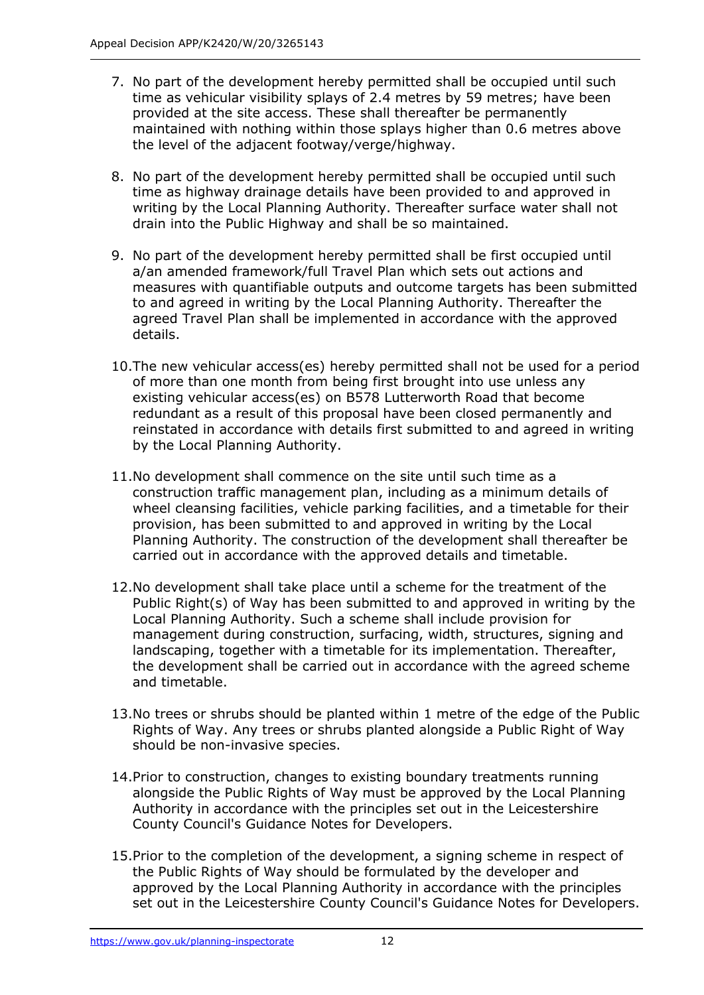- 7. No part of the development hereby permitted shall be occupied until such time as vehicular visibility splays of 2.4 metres by 59 metres; have been provided at the site access. These shall thereafter be permanently maintained with nothing within those splays higher than 0.6 metres above the level of the adjacent footway/verge/highway.
- 8. No part of the development hereby permitted shall be occupied until such time as highway drainage details have been provided to and approved in writing by the Local Planning Authority. Thereafter surface water shall not drain into the Public Highway and shall be so maintained.
- 9. No part of the development hereby permitted shall be first occupied until a/an amended framework/full Travel Plan which sets out actions and measures with quantifiable outputs and outcome targets has been submitted to and agreed in writing by the Local Planning Authority. Thereafter the agreed Travel Plan shall be implemented in accordance with the approved details.
- 10.The new vehicular access(es) hereby permitted shall not be used for a period of more than one month from being first brought into use unless any existing vehicular access(es) on B578 Lutterworth Road that become redundant as a result of this proposal have been closed permanently and reinstated in accordance with details first submitted to and agreed in writing by the Local Planning Authority.
- 11.No development shall commence on the site until such time as a construction traffic management plan, including as a minimum details of wheel cleansing facilities, vehicle parking facilities, and a timetable for their provision, has been submitted to and approved in writing by the Local Planning Authority. The construction of the development shall thereafter be carried out in accordance with the approved details and timetable.
- 12.No development shall take place until a scheme for the treatment of the Public Right(s) of Way has been submitted to and approved in writing by the Local Planning Authority. Such a scheme shall include provision for management during construction, surfacing, width, structures, signing and landscaping, together with a timetable for its implementation. Thereafter, the development shall be carried out in accordance with the agreed scheme and timetable.
- 13.No trees or shrubs should be planted within 1 metre of the edge of the Public Rights of Way. Any trees or shrubs planted alongside a Public Right of Way should be non-invasive species.
- 14.Prior to construction, changes to existing boundary treatments running alongside the Public Rights of Way must be approved by the Local Planning Authority in accordance with the principles set out in the Leicestershire County Council's Guidance Notes for Developers.
- 15.Prior to the completion of the development, a signing scheme in respect of the Public Rights of Way should be formulated by the developer and approved by the Local Planning Authority in accordance with the principles set out in the Leicestershire County Council's Guidance Notes for Developers.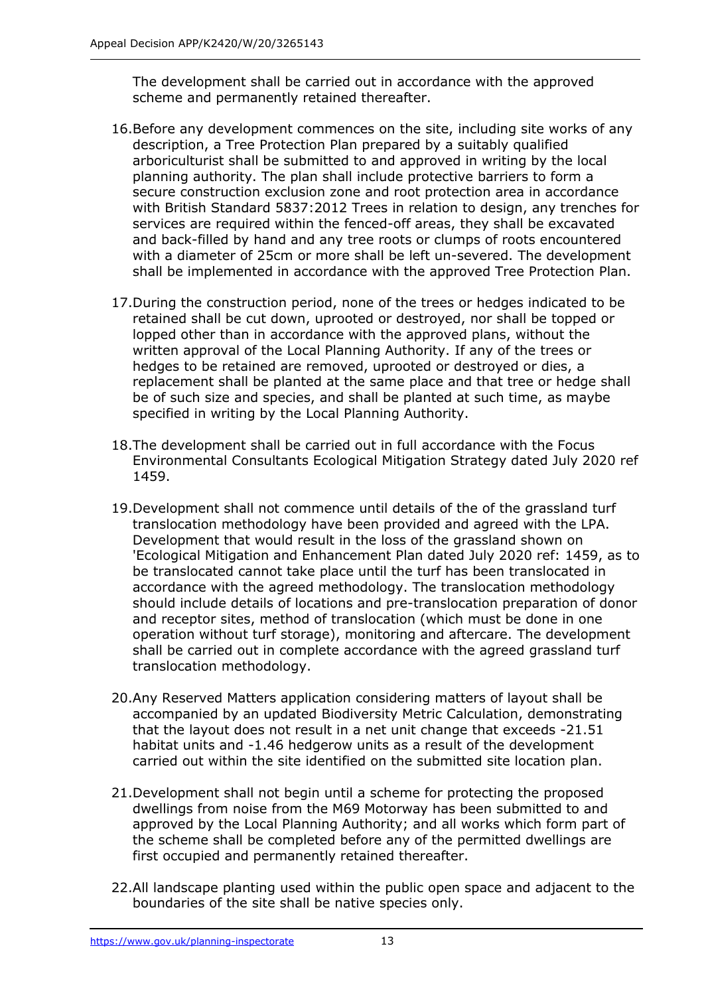The development shall be carried out in accordance with the approved scheme and permanently retained thereafter.

- 16.Before any development commences on the site, including site works of any description, a Tree Protection Plan prepared by a suitably qualified arboriculturist shall be submitted to and approved in writing by the local planning authority. The plan shall include protective barriers to form a secure construction exclusion zone and root protection area in accordance with British Standard 5837:2012 Trees in relation to design, any trenches for services are required within the fenced-off areas, they shall be excavated and back-filled by hand and any tree roots or clumps of roots encountered with a diameter of 25cm or more shall be left un-severed. The development shall be implemented in accordance with the approved Tree Protection Plan.
- 17.During the construction period, none of the trees or hedges indicated to be retained shall be cut down, uprooted or destroyed, nor shall be topped or lopped other than in accordance with the approved plans, without the written approval of the Local Planning Authority. If any of the trees or hedges to be retained are removed, uprooted or destroyed or dies, a replacement shall be planted at the same place and that tree or hedge shall be of such size and species, and shall be planted at such time, as maybe specified in writing by the Local Planning Authority.
- 18.The development shall be carried out in full accordance with the Focus Environmental Consultants Ecological Mitigation Strategy dated July 2020 ref 1459.
- 19.Development shall not commence until details of the of the grassland turf translocation methodology have been provided and agreed with the LPA. Development that would result in the loss of the grassland shown on 'Ecological Mitigation and Enhancement Plan dated July 2020 ref: 1459, as to be translocated cannot take place until the turf has been translocated in accordance with the agreed methodology. The translocation methodology should include details of locations and pre-translocation preparation of donor and receptor sites, method of translocation (which must be done in one operation without turf storage), monitoring and aftercare. The development shall be carried out in complete accordance with the agreed grassland turf translocation methodology.
- 20.Any Reserved Matters application considering matters of layout shall be accompanied by an updated Biodiversity Metric Calculation, demonstrating that the layout does not result in a net unit change that exceeds -21.51 habitat units and -1.46 hedgerow units as a result of the development carried out within the site identified on the submitted site location plan.
- 21.Development shall not begin until a scheme for protecting the proposed dwellings from noise from the M69 Motorway has been submitted to and approved by the Local Planning Authority; and all works which form part of the scheme shall be completed before any of the permitted dwellings are first occupied and permanently retained thereafter.
- 22.All landscape planting used within the public open space and adjacent to the boundaries of the site shall be native species only.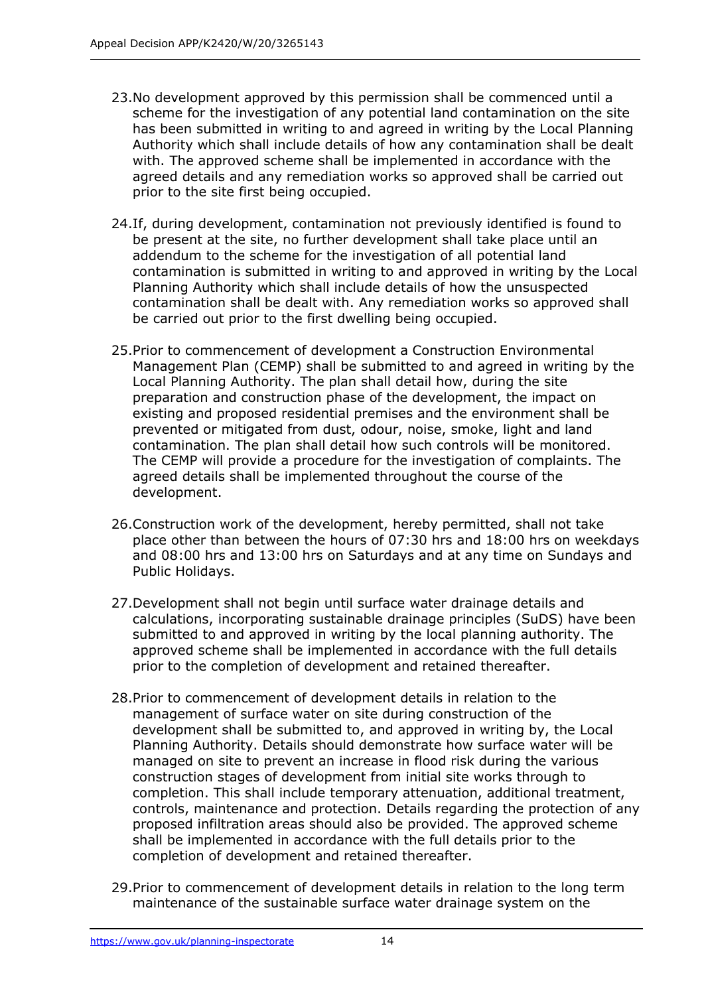- 23.No development approved by this permission shall be commenced until a scheme for the investigation of any potential land contamination on the site has been submitted in writing to and agreed in writing by the Local Planning Authority which shall include details of how any contamination shall be dealt with. The approved scheme shall be implemented in accordance with the agreed details and any remediation works so approved shall be carried out prior to the site first being occupied.
- 24.If, during development, contamination not previously identified is found to be present at the site, no further development shall take place until an addendum to the scheme for the investigation of all potential land contamination is submitted in writing to and approved in writing by the Local Planning Authority which shall include details of how the unsuspected contamination shall be dealt with. Any remediation works so approved shall be carried out prior to the first dwelling being occupied.
- 25.Prior to commencement of development a Construction Environmental Management Plan (CEMP) shall be submitted to and agreed in writing by the Local Planning Authority. The plan shall detail how, during the site preparation and construction phase of the development, the impact on existing and proposed residential premises and the environment shall be prevented or mitigated from dust, odour, noise, smoke, light and land contamination. The plan shall detail how such controls will be monitored. The CEMP will provide a procedure for the investigation of complaints. The agreed details shall be implemented throughout the course of the development.
- 26.Construction work of the development, hereby permitted, shall not take place other than between the hours of 07:30 hrs and 18:00 hrs on weekdays and 08:00 hrs and 13:00 hrs on Saturdays and at any time on Sundays and Public Holidays.
- 27.Development shall not begin until surface water drainage details and calculations, incorporating sustainable drainage principles (SuDS) have been submitted to and approved in writing by the local planning authority. The approved scheme shall be implemented in accordance with the full details prior to the completion of development and retained thereafter.
- 28.Prior to commencement of development details in relation to the management of surface water on site during construction of the development shall be submitted to, and approved in writing by, the Local Planning Authority. Details should demonstrate how surface water will be managed on site to prevent an increase in flood risk during the various construction stages of development from initial site works through to completion. This shall include temporary attenuation, additional treatment, controls, maintenance and protection. Details regarding the protection of any proposed infiltration areas should also be provided. The approved scheme shall be implemented in accordance with the full details prior to the completion of development and retained thereafter.
- 29.Prior to commencement of development details in relation to the long term maintenance of the sustainable surface water drainage system on the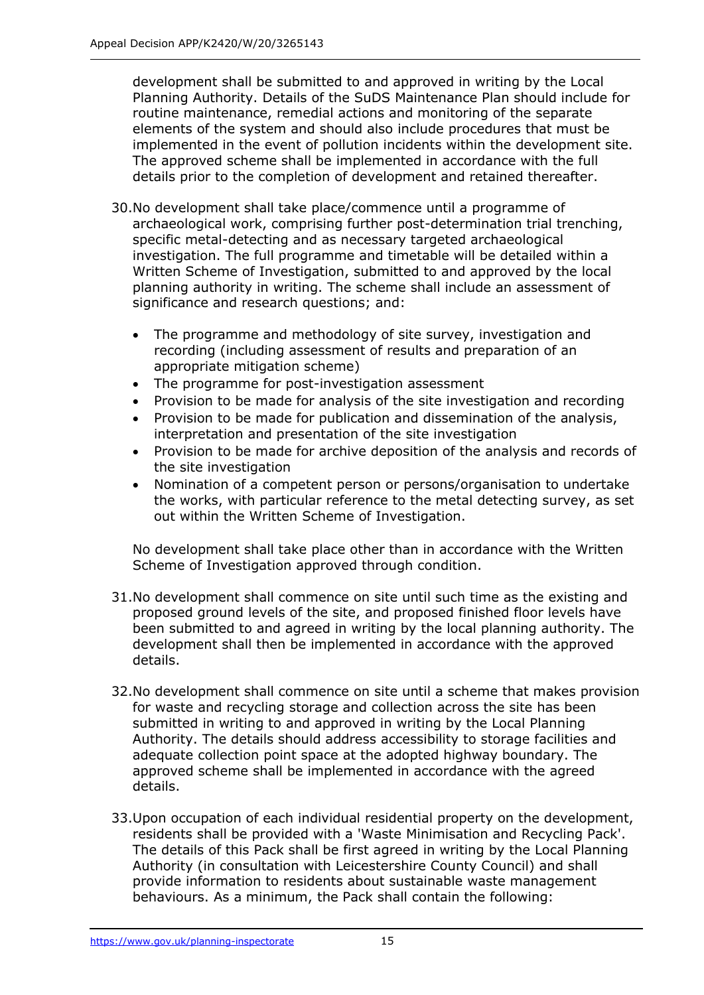development shall be submitted to and approved in writing by the Local Planning Authority. Details of the SuDS Maintenance Plan should include for routine maintenance, remedial actions and monitoring of the separate elements of the system and should also include procedures that must be implemented in the event of pollution incidents within the development site. The approved scheme shall be implemented in accordance with the full details prior to the completion of development and retained thereafter.

- 30.No development shall take place/commence until a programme of archaeological work, comprising further post-determination trial trenching, specific metal-detecting and as necessary targeted archaeological investigation. The full programme and timetable will be detailed within a Written Scheme of Investigation, submitted to and approved by the local planning authority in writing. The scheme shall include an assessment of significance and research questions; and:
	- The programme and methodology of site survey, investigation and recording (including assessment of results and preparation of an appropriate mitigation scheme)
	- The programme for post-investigation assessment
	- Provision to be made for analysis of the site investigation and recording
	- Provision to be made for publication and dissemination of the analysis, interpretation and presentation of the site investigation
	- Provision to be made for archive deposition of the analysis and records of the site investigation
	- Nomination of a competent person or persons/organisation to undertake the works, with particular reference to the metal detecting survey, as set out within the Written Scheme of Investigation.

No development shall take place other than in accordance with the Written Scheme of Investigation approved through condition.

- 31.No development shall commence on site until such time as the existing and proposed ground levels of the site, and proposed finished floor levels have been submitted to and agreed in writing by the local planning authority. The development shall then be implemented in accordance with the approved details.
- 32.No development shall commence on site until a scheme that makes provision for waste and recycling storage and collection across the site has been submitted in writing to and approved in writing by the Local Planning Authority. The details should address accessibility to storage facilities and adequate collection point space at the adopted highway boundary. The approved scheme shall be implemented in accordance with the agreed details.
- 33.Upon occupation of each individual residential property on the development, residents shall be provided with a 'Waste Minimisation and Recycling Pack'. The details of this Pack shall be first agreed in writing by the Local Planning Authority (in consultation with Leicestershire County Council) and shall provide information to residents about sustainable waste management behaviours. As a minimum, the Pack shall contain the following: